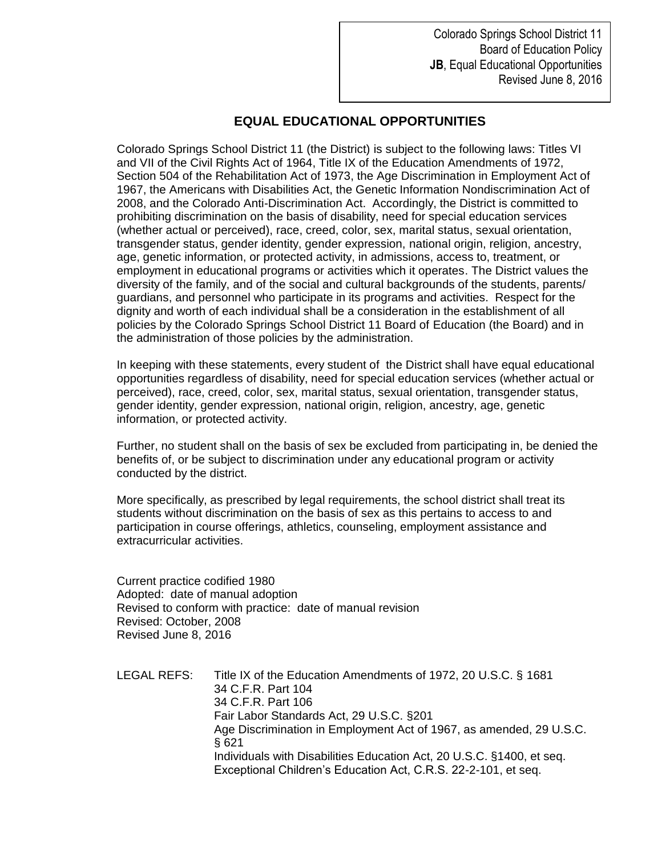Colorado Springs School District 11 Board of Education Policy **JB**, Equal Educational Opportunities Revised June 8, 2016

## **EQUAL EDUCATIONAL OPPORTUNITIES**

Colorado Springs School District 11 (the District) is subject to the following laws: Titles VI and VII of the Civil Rights Act of 1964, Title IX of the Education Amendments of 1972, Section 504 of the Rehabilitation Act of 1973, the Age Discrimination in Employment Act of 1967, the Americans with Disabilities Act, the Genetic Information Nondiscrimination Act of 2008, and the Colorado Anti-Discrimination Act. Accordingly, the District is committed to prohibiting discrimination on the basis of disability, need for special education services (whether actual or perceived), race, creed, color, sex, marital status, sexual orientation, transgender status, gender identity, gender expression, national origin, religion, ancestry, age, genetic information, or protected activity, in admissions, access to, treatment, or employment in educational programs or activities which it operates. The District values the diversity of the family, and of the social and cultural backgrounds of the students, parents/ guardians, and personnel who participate in its programs and activities. Respect for the dignity and worth of each individual shall be a consideration in the establishment of all policies by the Colorado Springs School District 11 Board of Education (the Board) and in the administration of those policies by the administration.

In keeping with these statements, every student of the District shall have equal educational opportunities regardless of disability, need for special education services (whether actual or perceived), race, creed, color, sex, marital status, sexual orientation, transgender status, gender identity, gender expression, national origin, religion, ancestry, age, genetic information, or protected activity.

Further, no student shall on the basis of sex be excluded from participating in, be denied the benefits of, or be subject to discrimination under any educational program or activity conducted by the district.

More specifically, as prescribed by legal requirements, the school district shall treat its students without discrimination on the basis of sex as this pertains to access to and participation in course offerings, athletics, counseling, employment assistance and extracurricular activities.

Current practice codified 1980 Adopted: date of manual adoption Revised to conform with practice: date of manual revision Revised: October, 2008 Revised June 8, 2016

LEGAL REFS: Title IX of the Education Amendments of 1972, 20 U.S.C. § 1681 34 C.F.R. Part 104 34 C.F.R. Part 106 Fair Labor Standards Act, 29 U.S.C. §201 Age Discrimination in Employment Act of 1967, as amended, 29 U.S.C. § 621 Individuals with Disabilities Education Act, 20 U.S.C. §1400, et seq. Exceptional Children's Education Act, C.R.S. 22-2-101, et seq.